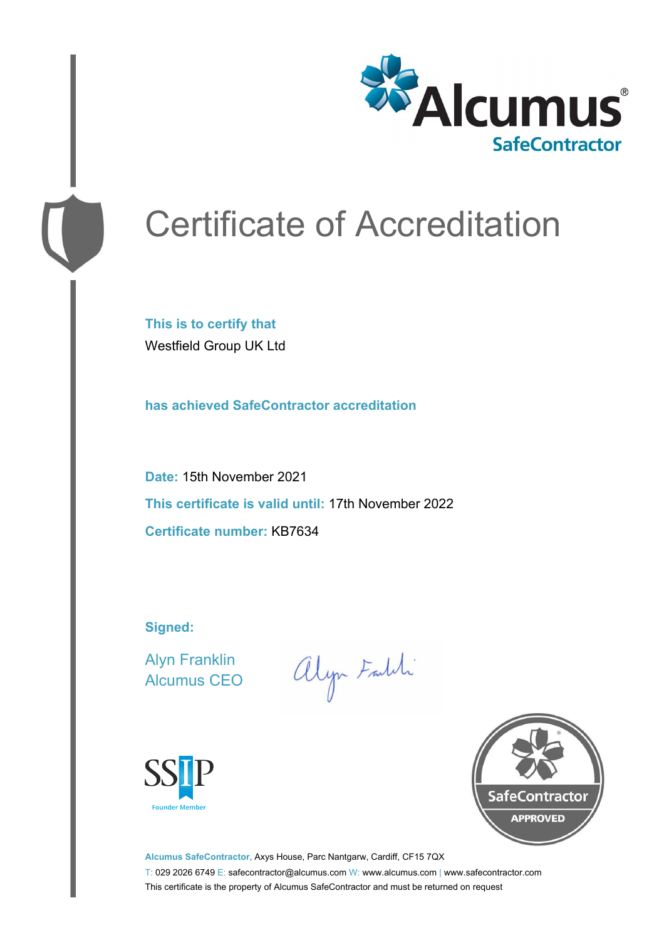

# Certificate of Accreditation

**This is to certify that** Westfield Group UK Ltd

**has achieved SafeContractor accreditation**

**Date:** 15th November 2021 **This certificate is valid until:** 17th November 2022 **Certificate number:** KB7634

**Signed:**

Alyn Franklin Alcumus CEO

alyn Faith





**Alcumus SafeContractor,** Axys House, Parc Nantgarw, Cardiff, CF15 7QX T: 029 2026 6749 E: safecontractor@alcumus.com W: www.alcumus.com | www.safecontractor.com This certificate is the property of Alcumus SafeContractor and must be returned on request